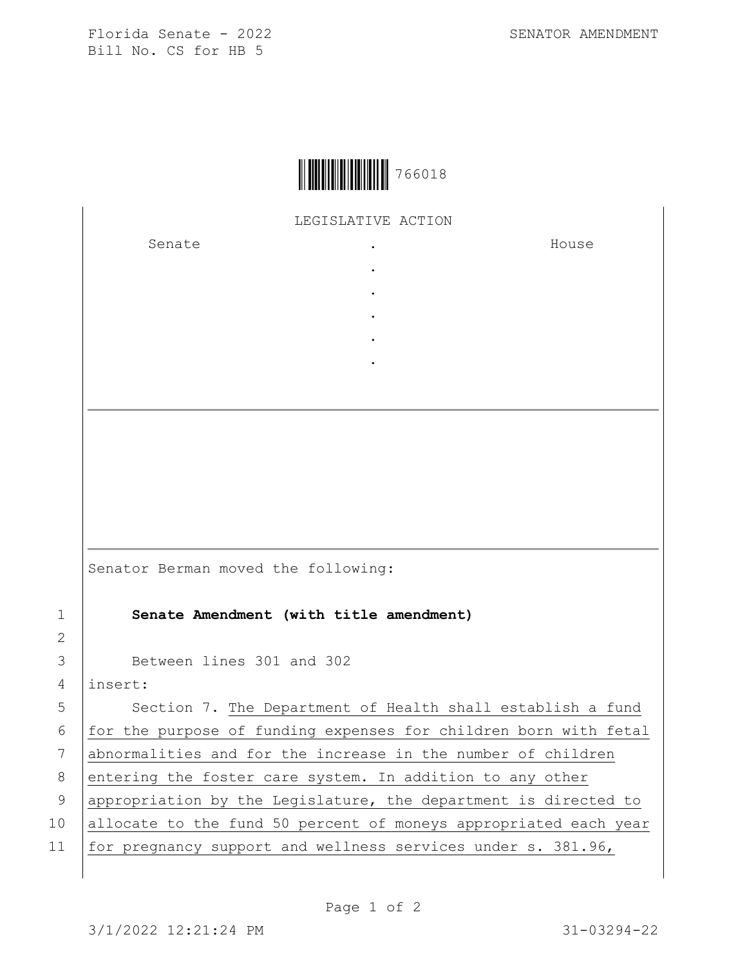Florida Senate - 2022 SENATOR AMENDMENT Bill No. CS for HB 5



LEGISLATIVE ACTION

. . . . .

Senate the senate of the senate  $\cdot$ 

House

Senator Berman moved the following:

1 **Senate Amendment (with title amendment)**

3 Between lines 301 and 302

4 insert:

2

5 Section 7. The Department of Health shall establish a fund 6  $|$  for the purpose of funding expenses for children born with fetal 7 abnormalities and for the increase in the number of children 8 entering the foster care system. In addition to any other 9 | appropriation by the Legislature, the department is directed to 10 allocate to the fund 50 percent of moneys appropriated each year 11 for pregnancy support and wellness services under s. 381.96,